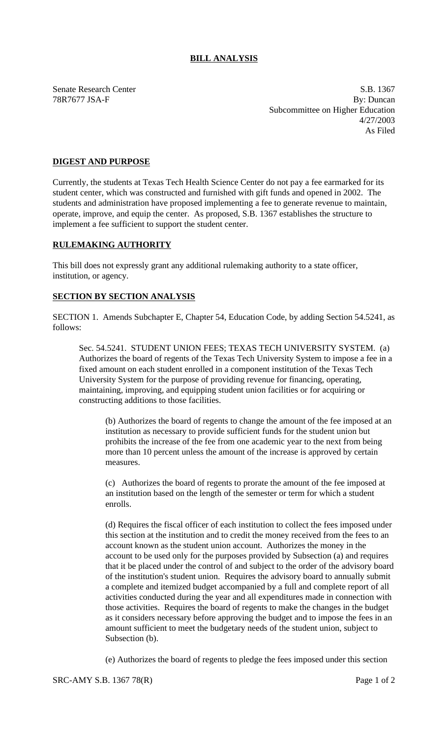## **BILL ANALYSIS**

Senate Research Center S.B. 1367 78R7677 JSA-F By: Duncan Subcommittee on Higher Education 4/27/2003 As Filed

## **DIGEST AND PURPOSE**

Currently, the students at Texas Tech Health Science Center do not pay a fee earmarked for its student center, which was constructed and furnished with gift funds and opened in 2002. The students and administration have proposed implementing a fee to generate revenue to maintain, operate, improve, and equip the center. As proposed, S.B. 1367 establishes the structure to implement a fee sufficient to support the student center.

## **RULEMAKING AUTHORITY**

This bill does not expressly grant any additional rulemaking authority to a state officer, institution, or agency.

## **SECTION BY SECTION ANALYSIS**

SECTION 1. Amends Subchapter E, Chapter 54, Education Code, by adding Section 54.5241, as follows:

Sec. 54.5241. STUDENT UNION FEES; TEXAS TECH UNIVERSITY SYSTEM. (a) Authorizes the board of regents of the Texas Tech University System to impose a fee in a fixed amount on each student enrolled in a component institution of the Texas Tech University System for the purpose of providing revenue for financing, operating, maintaining, improving, and equipping student union facilities or for acquiring or constructing additions to those facilities.

(b) Authorizes the board of regents to change the amount of the fee imposed at an institution as necessary to provide sufficient funds for the student union but prohibits the increase of the fee from one academic year to the next from being more than 10 percent unless the amount of the increase is approved by certain measures.

(c) Authorizes the board of regents to prorate the amount of the fee imposed at an institution based on the length of the semester or term for which a student enrolls.

(d) Requires the fiscal officer of each institution to collect the fees imposed under this section at the institution and to credit the money received from the fees to an account known as the student union account. Authorizes the money in the account to be used only for the purposes provided by Subsection (a) and requires that it be placed under the control of and subject to the order of the advisory board of the institution's student union. Requires the advisory board to annually submit a complete and itemized budget accompanied by a full and complete report of all activities conducted during the year and all expenditures made in connection with those activities. Requires the board of regents to make the changes in the budget as it considers necessary before approving the budget and to impose the fees in an amount sufficient to meet the budgetary needs of the student union, subject to Subsection (b).

(e) Authorizes the board of regents to pledge the fees imposed under this section